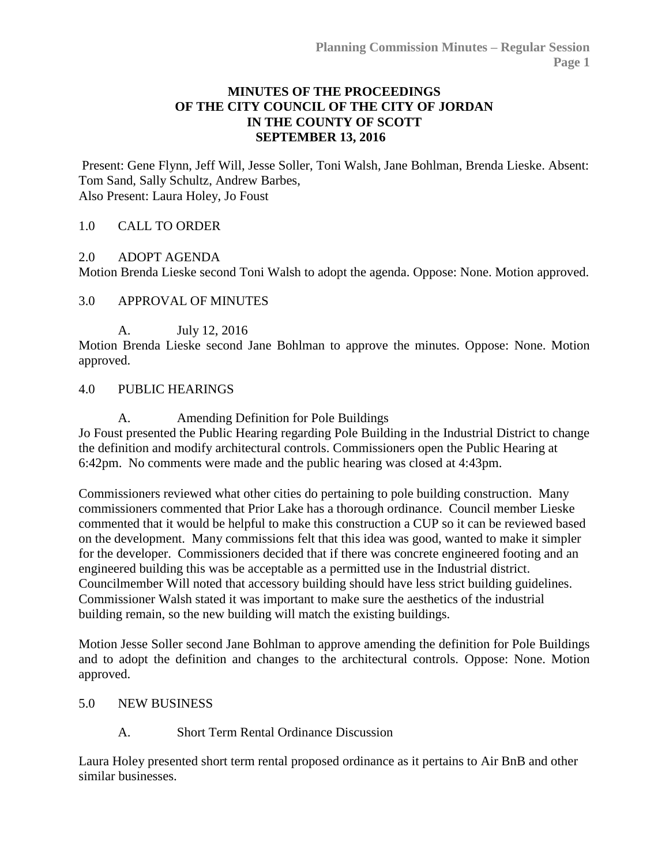### **MINUTES OF THE PROCEEDINGS OF THE CITY COUNCIL OF THE CITY OF JORDAN IN THE COUNTY OF SCOTT SEPTEMBER 13, 2016**

Present: Gene Flynn, Jeff Will, Jesse Soller, Toni Walsh, Jane Bohlman, Brenda Lieske. Absent: Tom Sand, Sally Schultz, Andrew Barbes, Also Present: Laura Holey, Jo Foust

### 1.0 [CALL TO ORDER](http://jordan-mn.granicus.com/wordlinkreceiver.php?clip_id=bfdd7839-93dd-442f-95f1-ba726a114024&meta_id=2f6bf654-e8b5-4c46-a1a7-2a5af29bde5a&time=71)

#### 2.0 [ADOPT AGENDA](http://jordan-mn.granicus.com/wordlinkreceiver.php?clip_id=bfdd7839-93dd-442f-95f1-ba726a114024&meta_id=45dad0aa-7334-4e53-82c8-619236b2bbd3&time=141)

Motion Brenda Lieske second Toni Walsh to adopt the agenda. Oppose: None. Motion approved.

#### 3.0 [APPROVAL OF MINUTES](http://jordan-mn.granicus.com/wordlinkreceiver.php?clip_id=bfdd7839-93dd-442f-95f1-ba726a114024&meta_id=3c840ee3-f8b0-4ebf-a6c1-c5f72eafc8eb&time=199)

A. [July 12, 2016](http://jordan-mn.granicus.com/wordlinkreceiver.php?clip_id=bfdd7839-93dd-442f-95f1-ba726a114024&meta_id=c8af7e10-761b-47b0-a9ff-b2e781520202&time=212)

Motion Brenda Lieske second Jane Bohlman to approve the minutes. Oppose: None. Motion approved.

#### 4.0 [PUBLIC HEARINGS](http://jordan-mn.granicus.com/wordlinkreceiver.php?clip_id=bfdd7839-93dd-442f-95f1-ba726a114024&meta_id=99294f70-288c-4f92-9ebf-ab45d97d1610&time=214)

A. [Amending Definition for Pole Buildings](http://jordan-mn.granicus.com/wordlinkreceiver.php?clip_id=bfdd7839-93dd-442f-95f1-ba726a114024&meta_id=a5d49033-8299-45dc-92e7-b12bf1488ce6&time=215) Jo Foust presented the Public Hearing regarding Pole Building in the Industrial District to change the definition and modify architectural controls. Commissioners open the Public Hearing at 6:42pm. No comments were made and the public hearing was closed at 4:43pm.

Commissioners reviewed what other cities do pertaining to pole building construction. Many commissioners commented that Prior Lake has a thorough ordinance. Council member Lieske commented that it would be helpful to make this construction a CUP so it can be reviewed based on the development. Many commissions felt that this idea was good, wanted to make it simpler for the developer. Commissioners decided that if there was concrete engineered footing and an engineered building this was be acceptable as a permitted use in the Industrial district. Councilmember Will noted that accessory building should have less strict building guidelines. Commissioner Walsh stated it was important to make sure the aesthetics of the industrial building remain, so the new building will match the existing buildings.

Motion Jesse Soller second Jane Bohlman to approve amending the definition for Pole Buildings and to adopt the definition and changes to the architectural controls. Oppose: None. Motion approved.

#### 5.0 [NEW BUSINESS](http://jordan-mn.granicus.com/wordlinkreceiver.php?clip_id=bfdd7839-93dd-442f-95f1-ba726a114024&meta_id=006d1d24-b653-4a1c-b26f-d9f64663ecfd&time=1948)

## A. [Short Term Rental Ordinance Discussion](http://jordan-mn.granicus.com/wordlinkreceiver.php?clip_id=bfdd7839-93dd-442f-95f1-ba726a114024&meta_id=bad9a4ca-9edb-4848-9365-94506647fff5&time=1950)

Laura Holey presented short term rental proposed ordinance as it pertains to Air BnB and other similar businesses.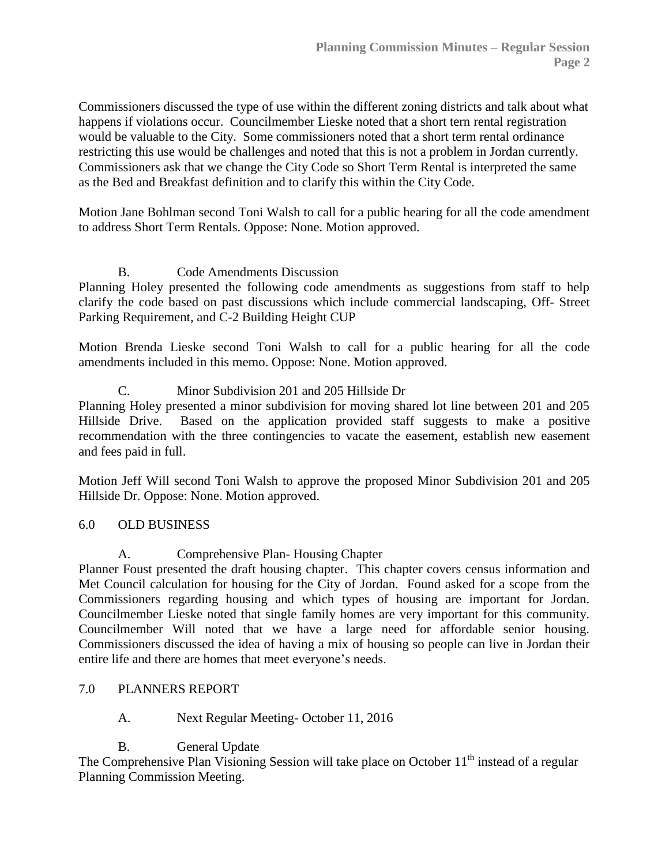Commissioners discussed the type of use within the different zoning districts and talk about what happens if violations occur. Councilmember Lieske noted that a short tern rental registration would be valuable to the City. Some commissioners noted that a short term rental ordinance restricting this use would be challenges and noted that this is not a problem in Jordan currently. Commissioners ask that we change the City Code so Short Term Rental is interpreted the same as the Bed and Breakfast definition and to clarify this within the City Code.

Motion Jane Bohlman second Toni Walsh to call for a public hearing for all the code amendment to address Short Term Rentals. Oppose: None. Motion approved.

## B. [Code Amendments Discussion](http://jordan-mn.granicus.com/wordlinkreceiver.php?clip_id=bfdd7839-93dd-442f-95f1-ba726a114024&meta_id=2ba47056-232f-477b-a673-21d0255ca226&time=3954)

Planning Holey presented the following code amendments as suggestions from staff to help clarify the code based on past discussions which include commercial landscaping, Off- Street Parking Requirement, and C-2 Building Height CUP

Motion Brenda Lieske second Toni Walsh to call for a public hearing for all the code amendments included in this memo. Oppose: None. Motion approved.

# C. [Minor Subdivision 201 and 205 Hillside Dr](http://jordan-mn.granicus.com/wordlinkreceiver.php?clip_id=bfdd7839-93dd-442f-95f1-ba726a114024&meta_id=41eda646-ffab-4524-88d2-5b8b64a127c9&time=5153)

Planning Holey presented a minor subdivision for moving shared lot line between 201 and 205 Hillside Drive. Based on the application provided staff suggests to make a positive recommendation with the three contingencies to vacate the easement, establish new easement and fees paid in full.

Motion Jeff Will second Toni Walsh to approve the proposed Minor Subdivision 201 and 205 Hillside Dr. Oppose: None. Motion approved.

## 6.0 [OLD BUSINESS](http://jordan-mn.granicus.com/wordlinkreceiver.php?clip_id=bfdd7839-93dd-442f-95f1-ba726a114024&meta_id=2c10b306-4a6b-46e2-9272-08440ad8f43b&time=5481)

A. [Comprehensive Plan-](http://jordan-mn.granicus.com/wordlinkreceiver.php?clip_id=bfdd7839-93dd-442f-95f1-ba726a114024&meta_id=9232dd3f-b667-47aa-ba23-ee7c3c1b7d57&time=5484) Housing Chapter

Planner Foust presented the draft housing chapter. This chapter covers census information and Met Council calculation for housing for the City of Jordan. Found asked for a scope from the Commissioners regarding housing and which types of housing are important for Jordan. Councilmember Lieske noted that single family homes are very important for this community. Councilmember Will noted that we have a large need for affordable senior housing. Commissioners discussed the idea of having a mix of housing so people can live in Jordan their entire life and there are homes that meet everyone's needs.

## 7.0 [PLANNERS REPORT](http://jordan-mn.granicus.com/wordlinkreceiver.php?clip_id=bfdd7839-93dd-442f-95f1-ba726a114024&meta_id=ffb1f38c-be85-43bb-be92-5ee595c4b100&time=8411)

A. Next Regular Meeting- October 11, 2016

B. General Update

The Comprehensive Plan Visioning Session will take place on October  $11<sup>th</sup>$  instead of a regular Planning Commission Meeting.